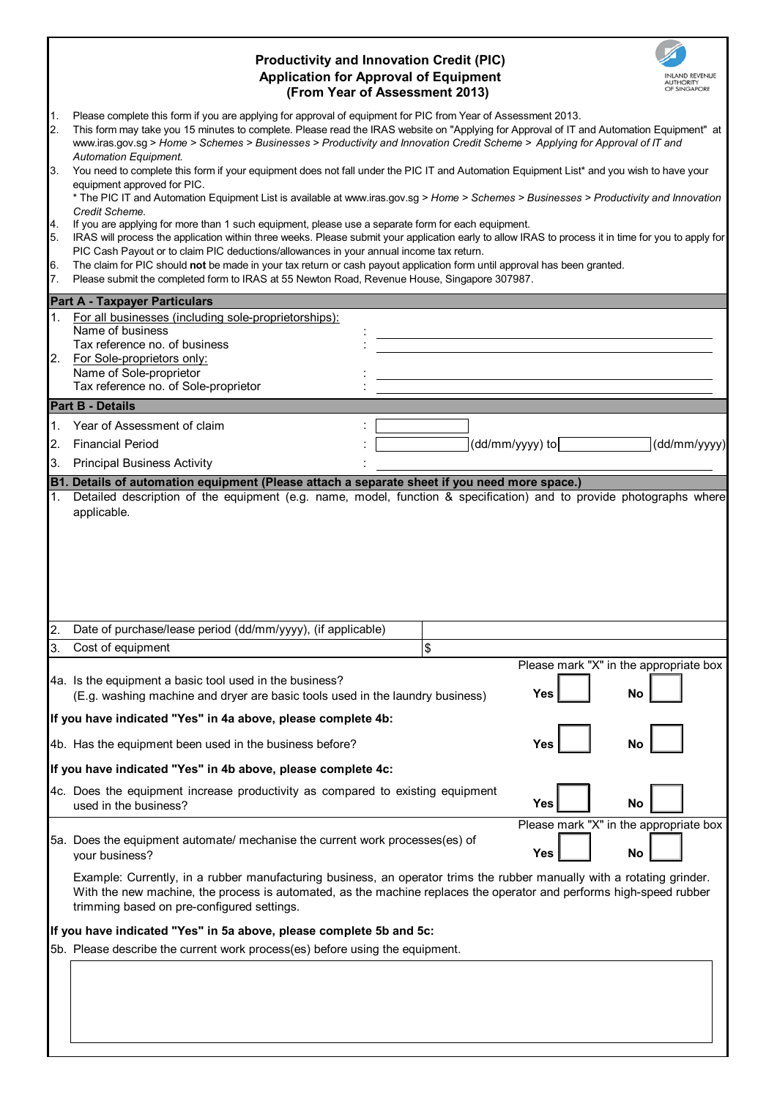|                  | <b>Productivity and Innovation Credit (PIC)</b><br><b>Application for Approval of Equipment</b><br>(From Year of Assessment 2013)                                                                                                                                                                                                                                                        |              |  |  |  |  |
|------------------|------------------------------------------------------------------------------------------------------------------------------------------------------------------------------------------------------------------------------------------------------------------------------------------------------------------------------------------------------------------------------------------|--------------|--|--|--|--|
| 1.<br>2.         | Please complete this form if you are applying for approval of equipment for PIC from Year of Assessment 2013.<br>This form may take you 15 minutes to complete. Please read the IRAS website on "Applying for Approval of IT and Automation Equipment" at<br>www.iras.gov.sg > Home > Schemes > Businesses > Productivity and Innovation Credit Scheme > Applying for Approval of IT and |              |  |  |  |  |
| 3.               | Automation Equipment.<br>You need to complete this form if your equipment does not fall under the PIC IT and Automation Equipment List* and you wish to have your<br>equipment approved for PIC.                                                                                                                                                                                         |              |  |  |  |  |
|                  | * The PIC IT and Automation Equipment List is available at www.iras.gov.sg > Home > Schemes > Businesses > Productivity and Innovation<br>Credit Scheme.                                                                                                                                                                                                                                 |              |  |  |  |  |
| 4.<br>5.         | If you are applying for more than 1 such equipment, please use a separate form for each equipment.<br>IRAS will process the application within three weeks. Please submit your application early to allow IRAS to process it in time for you to apply for<br>PIC Cash Payout or to claim PIC deductions/allowances in your annual income tax return.                                     |              |  |  |  |  |
| 6.<br>7.         | The claim for PIC should not be made in your tax return or cash payout application form until approval has been granted.<br>Please submit the completed form to IRAS at 55 Newton Road, Revenue House, Singapore 307987.                                                                                                                                                                 |              |  |  |  |  |
|                  | <b>Part A - Taxpayer Particulars</b>                                                                                                                                                                                                                                                                                                                                                     |              |  |  |  |  |
| 1.               | For all businesses (including sole-proprietorships):                                                                                                                                                                                                                                                                                                                                     |              |  |  |  |  |
|                  | Name of business                                                                                                                                                                                                                                                                                                                                                                         |              |  |  |  |  |
|                  | Tax reference no. of business                                                                                                                                                                                                                                                                                                                                                            |              |  |  |  |  |
| $\overline{2}$ . | For Sole-proprietors only:<br>Name of Sole-proprietor                                                                                                                                                                                                                                                                                                                                    |              |  |  |  |  |
|                  | Tax reference no. of Sole-proprietor                                                                                                                                                                                                                                                                                                                                                     |              |  |  |  |  |
|                  | <b>Part B - Details</b>                                                                                                                                                                                                                                                                                                                                                                  |              |  |  |  |  |
|                  |                                                                                                                                                                                                                                                                                                                                                                                          |              |  |  |  |  |
| 1.               | Year of Assessment of claim                                                                                                                                                                                                                                                                                                                                                              |              |  |  |  |  |
| 2.               | (dd/mm/yyyy) to<br><b>Financial Period</b>                                                                                                                                                                                                                                                                                                                                               | (dd/mm/yyyy) |  |  |  |  |
| 3.               | <b>Principal Business Activity</b><br>B1. Details of automation equipment (Please attach a separate sheet if you need more space.)                                                                                                                                                                                                                                                       |              |  |  |  |  |
|                  |                                                                                                                                                                                                                                                                                                                                                                                          |              |  |  |  |  |
| $\overline{2}$ . | Date of purchase/lease period (dd/mm/yyyy), (if applicable)                                                                                                                                                                                                                                                                                                                              |              |  |  |  |  |
| 3.               | \$<br>Cost of equipment                                                                                                                                                                                                                                                                                                                                                                  |              |  |  |  |  |
|                  | Please mark "X" in the appropriate box<br>4a. Is the equipment a basic tool used in the business?<br>Yes<br>No<br>(E.g. washing machine and dryer are basic tools used in the laundry business)                                                                                                                                                                                          |              |  |  |  |  |
|                  | If you have indicated "Yes" in 4a above, please complete 4b:                                                                                                                                                                                                                                                                                                                             |              |  |  |  |  |
|                  | 4b. Has the equipment been used in the business before?<br>Yes<br>No                                                                                                                                                                                                                                                                                                                     |              |  |  |  |  |
|                  | If you have indicated "Yes" in 4b above, please complete 4c:                                                                                                                                                                                                                                                                                                                             |              |  |  |  |  |
|                  | 4c. Does the equipment increase productivity as compared to existing equipment<br>Yes<br>No<br>used in the business?                                                                                                                                                                                                                                                                     |              |  |  |  |  |
|                  | Please mark "X" in the appropriate box<br>5a. Does the equipment automate/ mechanise the current work processes(es) of<br>Yes<br>No<br>your business?                                                                                                                                                                                                                                    |              |  |  |  |  |
|                  | Example: Currently, in a rubber manufacturing business, an operator trims the rubber manually with a rotating grinder.<br>With the new machine, the process is automated, as the machine replaces the operator and performs high-speed rubber<br>trimming based on pre-configured settings.                                                                                              |              |  |  |  |  |
|                  | If you have indicated "Yes" in 5a above, please complete 5b and 5c:                                                                                                                                                                                                                                                                                                                      |              |  |  |  |  |
|                  | 5b. Please describe the current work process(es) before using the equipment.                                                                                                                                                                                                                                                                                                             |              |  |  |  |  |
|                  |                                                                                                                                                                                                                                                                                                                                                                                          |              |  |  |  |  |